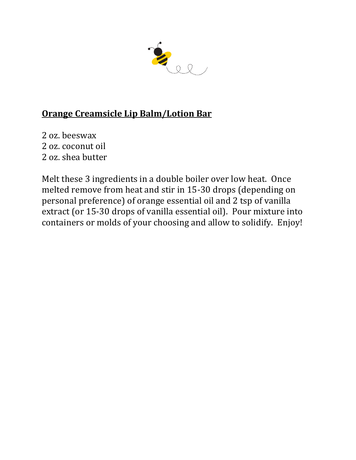

# **Orange Creamsicle Lip Balm/Lotion Bar**

2 oz. beeswax 2 oz. coconut oil 2 oz. shea butter

Melt these 3 ingredients in a double boiler over low heat. Once melted remove from heat and stir in 15-30 drops (depending on personal preference) of orange essential oil and 2 tsp of vanilla extract (or 15-30 drops of vanilla essential oil). Pour mixture into containers or molds of your choosing and allow to solidify. Enjoy!